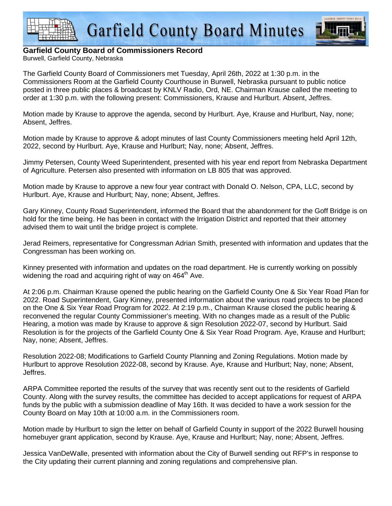



## **Garfield County Board of Commissioners Record**

Burwell, Garfield County, Nebraska

The Garfield County Board of Commissioners met Tuesday, April 26th, 2022 at 1:30 p.m. in the Commissioners Room at the Garfield County Courthouse in Burwell, Nebraska pursuant to public notice posted in three public places & broadcast by KNLV Radio, Ord, NE. Chairman Krause called the meeting to order at 1:30 p.m. with the following present: Commissioners, Krause and Hurlburt. Absent, Jeffres.

Motion made by Krause to approve the agenda, second by Hurlburt. Aye, Krause and Hurlburt, Nay, none; Absent, Jeffres.

Motion made by Krause to approve & adopt minutes of last County Commissioners meeting held April 12th, 2022, second by Hurlburt. Aye, Krause and Hurlburt; Nay, none; Absent, Jeffres.

Jimmy Petersen, County Weed Superintendent, presented with his year end report from Nebraska Department of Agriculture. Petersen also presented with information on LB 805 that was approved.

Motion made by Krause to approve a new four year contract with Donald O. Nelson, CPA, LLC, second by Hurlburt. Aye, Krause and Hurlburt; Nay, none; Absent, Jeffres.

Gary Kinney, County Road Superintendent, informed the Board that the abandonment for the Goff Bridge is on hold for the time being. He has been in contact with the Irrigation District and reported that their attorney advised them to wait until the bridge project is complete.

Jerad Reimers, representative for Congressman Adrian Smith, presented with information and updates that the Congressman has been working on.

Kinney presented with information and updates on the road department. He is currently working on possibly widening the road and acquiring right of way on  $464<sup>th</sup>$  Ave.

At 2:06 p.m. Chairman Krause opened the public hearing on the Garfield County One & Six Year Road Plan for 2022. Road Superintendent, Gary Kinney, presented information about the various road projects to be placed on the One & Six Year Road Program for 2022. At 2:19 p.m., Chairman Krause closed the public hearing & reconvened the regular County Commissioner's meeting. With no changes made as a result of the Public Hearing, a motion was made by Krause to approve & sign Resolution 2022-07, second by Hurlburt. Said Resolution is for the projects of the Garfield County One & Six Year Road Program. Aye, Krause and Hurlburt; Nay, none; Absent, Jeffres.

Resolution 2022-08; Modifications to Garfield County Planning and Zoning Regulations. Motion made by Hurlburt to approve Resolution 2022-08, second by Krause. Aye, Krause and Hurlburt; Nay, none; Absent, Jeffres.

ARPA Committee reported the results of the survey that was recently sent out to the residents of Garfield County. Along with the survey results, the committee has decided to accept applications for request of ARPA funds by the public with a submission deadline of May 16th. It was decided to have a work session for the County Board on May 10th at 10:00 a.m. in the Commissioners room.

Motion made by Hurlburt to sign the letter on behalf of Garfield County in support of the 2022 Burwell housing homebuyer grant application, second by Krause. Aye, Krause and Hurlburt; Nay, none; Absent, Jeffres.

Jessica VanDeWalle, presented with information about the City of Burwell sending out RFP's in response to the City updating their current planning and zoning regulations and comprehensive plan.